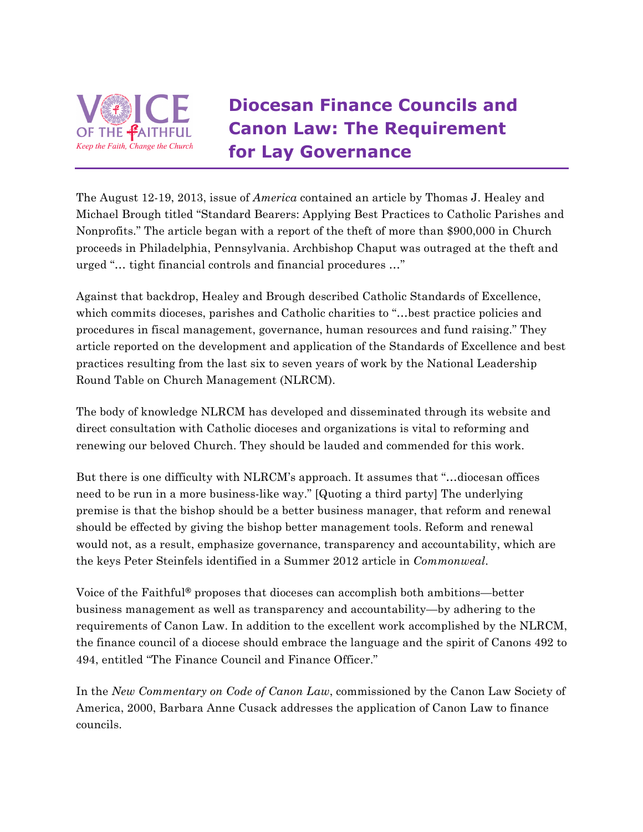

## **Diocesan Finance Councils and Canon Law: The Requirement for Lay Governance**

The August 12-19, 2013, issue of *America* contained an article by Thomas J. Healey and Michael Brough titled "Standard Bearers: Applying Best Practices to Catholic Parishes and Nonprofits." The article began with a report of the theft of more than \$900,000 in Church proceeds in Philadelphia, Pennsylvania. Archbishop Chaput was outraged at the theft and urged "… tight financial controls and financial procedures …"

Against that backdrop, Healey and Brough described Catholic Standards of Excellence, which commits dioceses, parishes and Catholic charities to "... best practice policies and procedures in fiscal management, governance, human resources and fund raising." They article reported on the development and application of the Standards of Excellence and best practices resulting from the last six to seven years of work by the National Leadership Round Table on Church Management (NLRCM).

The body of knowledge NLRCM has developed and disseminated through its website and direct consultation with Catholic dioceses and organizations is vital to reforming and renewing our beloved Church. They should be lauded and commended for this work.

But there is one difficulty with NLRCM's approach. It assumes that "…diocesan offices need to be run in a more business-like way." [Quoting a third party] The underlying premise is that the bishop should be a better business manager, that reform and renewal should be effected by giving the bishop better management tools. Reform and renewal would not, as a result, emphasize governance, transparency and accountability, which are the keys Peter Steinfels identified in a Summer 2012 article in *Commonweal*.

Voice of the Faithful**®** proposes that dioceses can accomplish both ambitions—better business management as well as transparency and accountability—by adhering to the requirements of Canon Law. In addition to the excellent work accomplished by the NLRCM, the finance council of a diocese should embrace the language and the spirit of Canons 492 to 494, entitled "The Finance Council and Finance Officer."

In the *New Commentary on Code of Canon Law*, commissioned by the Canon Law Society of America, 2000, Barbara Anne Cusack addresses the application of Canon Law to finance councils.